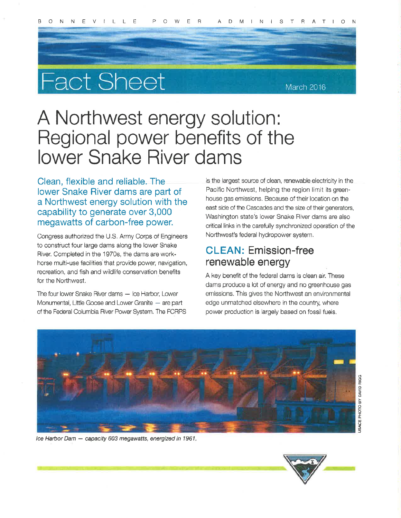# **Fact Sheet**

## A Northwest energy solution: Regional power benefits of the **lower Snake River dams**

Clean, flexible and reliable. The lower Snake River dams are part of a Northwest energy solution with the capability to generate over 3,000 megawatts of carbon-free power.

Congress authorized the U.S. Army Corps of Engineers to construct four large dams along the lower Snake River. Completed in the 1970s, the dams are workhorse multi-use facilities that provide power, navigation, recreation, and fish and wildlife conservation benefits for the Northwest.

The four lower Snake River dams - Ice Harbor, Lower Monumental, Little Goose and Lower Granite - are part of the Federal Columbia River Power System. The FCRPS is the largest source of clean, renewable electricity in the Pacific Northwest, helping the region limit its greenhouse gas emissions. Because of their location on the east side of the Cascades and the size of their generators, Washington state's lower Snake River dams are also critical links in the carefully synchronized operation of the Northwest's federal hydropower system.

## **CLEAN: Emission-free** renewable energy

A key benefit of the federal dams is clean air. These dams produce a lot of energy and no greenhouse gas emissions. This gives the Northwest an environmental edge unmatched elsewhere in the country, where power production is largely based on fossil fuels.



Ice Harbor Dam - capacity 603 megawatts, energized in 1961.



March 2016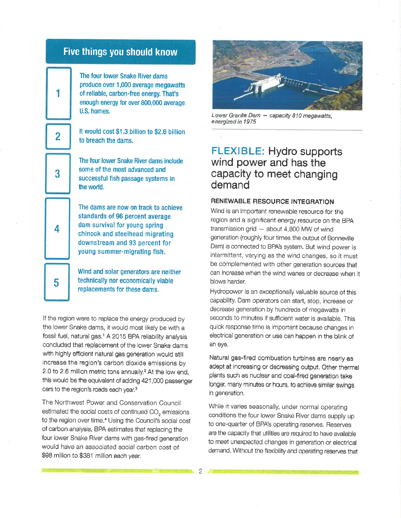

1

2

3

4

5

The four lower Snake River dams produce over 1,000 average megawatts of reliable, carbon-free energy. That's enough energy for over 800,000 average U.S. homes.

It would cost \$1,3 þillion to \$2,6 billion to breach the dams.

The four lower Snake River dams include some of the most advanced and successful fish passage systems in the world.

The dams are now on track to achieve standards of 96 percent average dam survival for young spring chinook and steelhead migrating downstream and 93 percent for young summer-migrating fish,

Wind and solar generators are neither technically nor economlcally vlable replacements for these dams.

lf the region were to replace the energy produced by the lower Snake dams, it would most likely be with a fossil fuel, natural gas.<sup>1</sup> A 2015 BPA reliability analysis concluded that replacement of the lower Snake dams with highly efficient natural gas generation would still increase the region's carbon dioxide emissions by 2.0 to 2.6 million metric tons annually,<sup>2</sup> At the low end, this would be the equivalent of adding 421,000 passenger cars to the region's roads each year.3

The Northwest Power and Conservation Council estimated the social costs of continued CO<sub>2</sub> emissions to the region over time.<sup>4</sup> Using the Council's social cost of carbon analysis, BPA estimates that replacing the four lower Snake River dams with gas-fired generation would haVe an associated socíal carbon cost of \$98 million to \$381 million each year.



Lower Granite Dam - capacity 810 megawatts, energized in 1975

## FLEXIBLE: Hydro supports wind power and has the capacity to meet changing demand

#### RENEWABLE RESOURCE INTEGRATION

Wind is an important renewable resource for the region and a significant energy resource on the BpA transmission grid — about 4,800 MW of wind generation (roughly four times the output of Bonnevjlle Dam) is connected to BPA's system. But wind power is intermiftent, varying as the wind changes, so it must be complemented with other generation sources that can increase when the wind wanes or decrease when it blows harder.

Hydropower is an exceptionally valuable source of this capability. Dam operators can start, stop, increase or decrease generation by hundreds of megawatts in seconds to minutes if sufficient water is available. This quick response time is important because changes in electrical generation or use can happen in the blink of an eye.

Natural gas-fired combustion turbines are nearly as adept at increasing or decreasing output. Other thermal plants such as nuclear and coal-fired generation take longer, many minutes or hours, to achieve similar swings in generation.

While it varies seasonally, under normal operating conditions the four lower Snake River dams supply up to one-quarter of BPA's operating reserues, Reserves are the capacity that utilities are required to have available to meet unexpected changes in generation or electrical demand. Without the flexibility and operating reserves that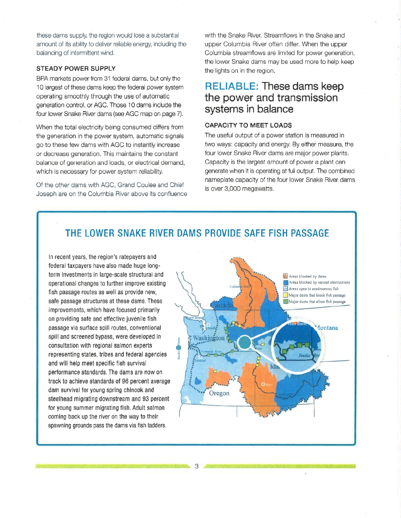these dams supply, the region would lose a substantìal amount of its abilrty to deliver reliable energy, including the balancing of intermittent wind.

#### STEADY POWER SUPPLY

BPA markets power from 31 federal dams, but only the 10 largest of these dams keep the federal power system operating smoothly through the use of automatic generation control, or AGC. Those 10 dams include the four lower Snake River dams (see AGC map on page 7).

When the total electricity being consumed differs from the generation in the power systom, automatic signals go to these few dams with AGC to instantly increase or decrease generation. This maintains the constant balance of generation and loads, or electrical demand, which is necessary for power system reliability.

Of the other dams with AGC, Grand Coulee and Chief Joseph are on the Columbia River above its confluence with the Snake River, Streamflows in the Snake and upper Columbia River often differ. When the upper Columbia streamflows are limited for power generation, the lower Snake dams may be used more to help keep the lights on in the region.

#### RELIABLE: These dams keep the power and transmission systems in balance

#### CAPACITY TO MEET LOADS

The useful output of a power station is measured in two ways: capacity and energy. By either measure, the four lower Snake River dams are major power plants. Capacity is the largest amount of power a plant can generate when it is operating at full output, The combined nameplate capacity of the four lower Snake River dams is over 3,000 megawatts,

#### THE LOWER SNAKE RIVER DAMS PROVIDE SAFE FISH PASSAGE

ln recent years, the region's ratepayers and federal taxpayers have also made huge longterm lnvestments in large-scale structural and 0perational changes t0 further improve existing fish passage routes as well as provide new, safe passage structures at these dams. These improvements, which have focused primarily on providing safe and etfective juvenìle fish passage via surface spill routes, conventional spill and screened bypass, were developed in consultation with regional salmon experts representing states, tribes and federal agencies and will help meet specific fish survival performance standards. The dams are now on track to achieve standards of 96 percent average dam survival for young spring chinook and steelhead migrating downstream and 93 percent for young summer mígrating fish. Adult salmon coming back up the river on the way to their spawning grounds pass the dams via fish ladders,

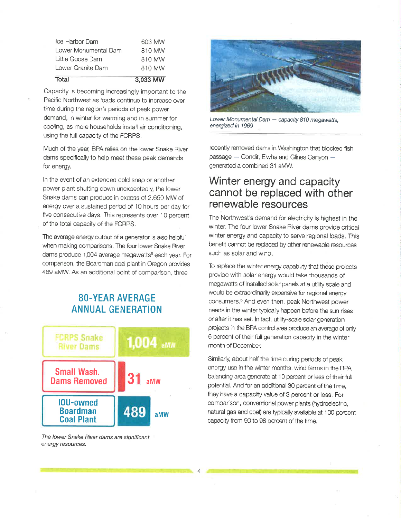| Total                | 3,033 MW |
|----------------------|----------|
| Lower Granite Dam    | 810 MW   |
| Little Goose Dam     | 810 MW   |
| Lower Monumental Dam | 810 MW   |
| Ice Harbor Dam       | 603 MW   |

Capacity is becoming increasingly important to the Pacific Northwest as loads continue to increase over time during the region's periods of peak power demand, in winter for warming and in summer for cooling, as more households install air conditioning, using the tull capacity of the FCRPS,

Much of the year, BPA relies on the lower Snake River dams specifìcally to help meet these peak demands for energy,

ln the event of an extended cold snap or another power plant shutting down unexpectedly, the lower Snake dams can produce in excess of 2,650 MW of energy over a sustained period of 10 hours per day for fíve consecutive days. This represents over 10 percent of the total capacity of the FCFPS.

The average energy output of a generator is also helpful when making comparisons. The four lower Snake Fiver dams produce 1,004 average megawatts<sup>5</sup> each year. For comparison, the Boardman coal plant in Oregon provides 489 aMW. As an additional point of comparison, three

#### SO.YEAR AVERAGE ANNUAL GENERATION



The lower Snake River dams are significant energy resources.



Lower Monumental Dam - capacity 810 megawatts, energized in 1969

recently removed dams in Washington that blocked fish passage - Condit, Elwha and Glines Canyon generated a combined 31 aMW.

## Winter energy and capacity cannot be replaced with other renewable resources

The Northwest's demand for electricity is highest in the winter. The four lower Snake River dams provide critical winter energy and capacity to serve regional loads, This benefit cannot be replaced by other renewable resources such as solar and wind.

To replace the winter energy capability that these projects provide with solar energy would take thousands of megawatts of installed solar panels at a utility scale and would be extraordinarily expensive for regional energy consumers.<sup>6</sup> And even then, peak Northwest power needs in the winter typically happen before the sun rises or after it has set. In fact, utility-scale solar generation projects ín the BPA control area produce an average of only 6 percent of their full generation capacíty in the winter month of December,

Similarly, about half the time during periods of peak energy use in the winter months, wind farms in the BPA balancing area generate at 10 percent or less of their full potential. And for an additional 30 percent of the time, they have a capacity value of 3 percent or less. For comparison, conventional power plants (hydroolectric, natural gas and coal) aro typically availaþle at 100 percent capacity from 90 to 98 percent of the time.

4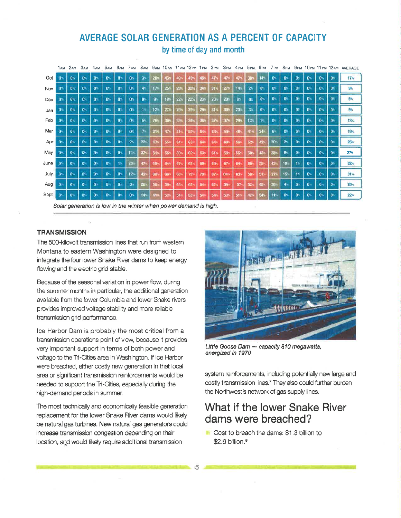#### AVERAGE SOLAR GENERATION AS A PERCENT OF CAPACITY by time of day and month

|      | 1 AM           | 2 <sub>AM</sub> | 3 <sub>AM</sub> | 4 <sub>AM</sub> | 5 <sub>AM</sub> | 6 AM           | 7 AM           | 8 <sub>AM</sub> | 9 <sub>AM</sub> | 10 <sub>AM</sub> | 11 AM           | 12 <sub>PM</sub> | 1<br><b>PM</b>  | 2PM             | 3 <sub>PM</sub>  | 4PM             | 5 <sub>PM</sub> | бем             | 7 <sub>PM</sub> | 8 <sub>PM</sub> | 9 <sub>PM</sub> | 10 <sub>PM</sub> | $11_{PM}$      | 12 A M         | AVERAGE |
|------|----------------|-----------------|-----------------|-----------------|-----------------|----------------|----------------|-----------------|-----------------|------------------|-----------------|------------------|-----------------|-----------------|------------------|-----------------|-----------------|-----------------|-----------------|-----------------|-----------------|------------------|----------------|----------------|---------|
| Oct  | 0 <sub>5</sub> | $0 -$           | 0 <sub>1</sub>  | 0.5             | $0^{\circ}$     | $0 -$          | 0 <sub>5</sub> | $3^{\circ}$     | 28-             |                  |                 |                  | 46.             |                 |                  |                 |                 | 14%             | $0 -$           | 0 <sub>1</sub>  | 0.              | 0 <sub>1</sub>   | 0.             | o              | 17%     |
| Nov  | $0$ .          | 0%              | 0 <sup>1</sup>  | 0.5             | $0^{\circ}$     | $0 -$          | O.             | 4%              | 171             | $25 -$           | 29%             | 32%              | $34 -$          | 31%             | 27 <sub>0</sub>  | 14 <sub>1</sub> | 2%              | 0%              | $0^{\circ}$     | 0.              | $0^{\circ}$     | 0.               | 0.             | 0 <sub>1</sub> | 9%      |
| Dec  | $0 +$          | $0$ .           | 0               | 0 <sub>1</sub>  | 0%              | 0 <sub>5</sub> | $0^{\circ}$    | D <sub>14</sub> | 9.              | 19.              | 22.5            | 22%              | $23 -$          | 23 <sub>1</sub> | $20^{\circ}$     | 8 <sub>5</sub>  | 0 <sup>-</sup>  | o.              | 0 <sub>1</sub>  | 0%              | 0 <sub>n</sub>  | 0 <sub>n</sub>   | 0.5            | 0 <sub>1</sub> | G%      |
| Jan  | O%             | $0^{\circ}$     | 0               | 0 <sub>1</sub>  | 0 <sup>5</sup>  | 0              | 0 <sub>1</sub> | $1^{\circ}$     | 12%             | $271-$           | $29 -$          | 29 <sub>1</sub>  | $29^{\circ}$    | 314             | 30 <sub>1</sub>  | 20              | 3.5             | O%              | $0$ %           | m.              | $0^{\circ}$     | ON.              | 0%             | $0^{\circ}$    | 9%      |
| Feb  | $0^{\circ}$    | 0%              | 0 <sub>n</sub>  | D.              | 0 <sub>5</sub>  | $0^{\circ}$    | 0 <sub>5</sub> | 5%              | $26 -$          | <b>RO</b>        | 304             |                  |                 | 37 <sub>2</sub> | 37               | 29%             | 13              | ١ś.             | 0 <sub>1</sub>  | 0               | $0$ .           | 0.               | $0^{\circ}$    | 0 <sub>1</sub> | 13%     |
| Mar  | 0%             | $0^{\circ}$     | $\mathbf{0}$    | 0 <sub>2</sub>  | 0.5             | 0              | 0 <sub>n</sub> | $\mathbf{7}$    | 31%             | 47               | 51              | 53               | $54 -$          | 53%             | 50               | 48.             |                 | 24.             | 6<              | 0               | On              | 0 <sub>1</sub>   | 0.             | $\mathbf{0}$   | 19%     |
| Apr  | 0%             | 0 <sup>o</sup>  | 0 <sub>2</sub>  | D%              | 0%              | 0 <sub>5</sub> | 2 <sub>1</sub> | 221             | 47%             | $55 -$           | 61%             | 63               | 64%             | 64%             | 60               | <b>S6+</b>      | $52+$           | 421             | 20              | 2 <sub>1</sub>  | ON.             | 0 <sub>1</sub>   | 0%             | 0 <sub>0</sub> | 25%     |
| May  | 0%             | $0$ %           | ON.             | D%              | 0.7             | 0.5            | 11%            | $37^{\circ}$    | 51 <sub>5</sub> | 56               | 59 <sub>1</sub> | $62^{\circ}$     | 63.             | 61-             | 58               | 55              | 50              | 43)             | $28 -$          | 8.              | 0 <sub>0</sub>  | 0 <sub>5</sub>   | 0.1            | 0.             | 27%     |
| June | $0 -$          | 0.5             | $0^{\circ}$     | 0.5             | 0.5             | 15             | $20 -$         | 471             | 60              | 64-              | 67.             | 68               | 69              | 69              | $67 -$           | 64              | 60              | B5 <sup>+</sup> | $42 -$          | 19              | $11-$           | 0.5              | 0.             | $0^{\circ}$    | 32%     |
| July | 0%             | 0%              | 0 <sub>2</sub>  | 0 <sup>th</sup> | 0 <sub>2</sub>  | $0 -$          | $12^{\circ}$   | 43%             | $60 -$          | 66               | 68%             | $70^{\circ}$     | 70 <sub>1</sub> | 67%             | 64 <sup>n.</sup> | 63              | 59              | 511             | 37 <sub>1</sub> | 15 <sub>°</sub> | 15              | 0 <sup>5</sup>   | $0^{\circ}$    | 0 <sub>1</sub> | 31%     |
| Aug  | 0 <sub>3</sub> | o.              | 0 <sub>n</sub>  | ū»              | 0.              | $0$ .          | 3.5            | 26%             | $50^{\circ}$    | 59               | 63.             | 65               | 64-             | $62 -$          | $59^{\circ}$     | 57.             | 52 <sub>1</sub> | 45%             | 26%             | 4 <sub>5</sub>  | 0 <sub>0</sub>  | 0.               | 0 <sub>1</sub> | 0 <sub>0</sub> | 25.     |
| Sept | 0%             | O <sub>*</sub>  | $0$ %           | 0 <sub>1</sub>  | 0%              | 0 <sub>5</sub> | 0 <sub>5</sub> | 14%             | 41%             | 53               | 54              | 55%              | 54              | 54              | 53               | 51%             | 47.             |                 | 11%             | 0 <sub>5</sub>  | 0 <sub>0</sub>  | ON.              | 0 <sub>5</sub> | $0^{\circ}$    | 22%     |

Solar generation is low in the winter when power demand is high.

#### **TRANSMISSION**

The 5OO-kilovolt transmission lines that run from western Montana to eastern Washington were designed to integrate the four lower Snake River dams to keep energy flowing and the electric grid stable,

Because of the seasonal variation in power flow, during the summer months in particular, the additional generation available from the lower Columbia and lower Snake rivers provides improved voltage stability and moro reliaþle transmission grid performance.

Ice Harbor Dam is probably the most critical from a transmission operations point of view, because it provides very important support in terms of both power and voltage to the Ti-Cities area in Washington. lf lce Harbor were breached, either costly new generation ln that local area or significant transmission reinforcements would be needed to support the Tri-Cities, especially during the high-demand periods in summer.

The most technically and economically feasible generation replacement for the lower Snake River dams would likely be naturalgas turbines, New natural gas generators oould increase fansmission oongætion depending on their location, aqd woufd líkely require additional transmission



Little Goose Dam  $-$  capacity 810 megawatts, energized in 1970

system reinforcements, including potentially new large and costly transmission lines.<sup>7</sup> They also could further burden the Northwest's network of gas supply lines.

## What if the lower Snake River dams were breached?

**R** Cost to breach the dams: \$1.3 billion to  $$2.6$  billion.<sup>8</sup>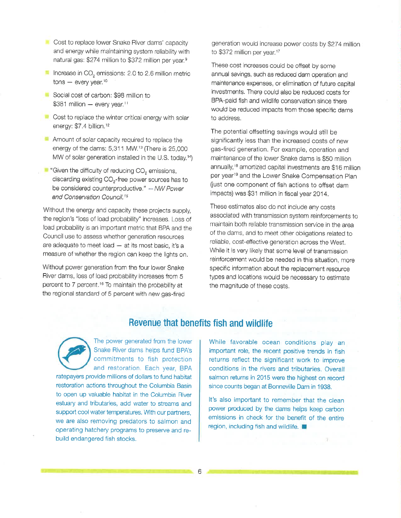- Cost to replace lower Snake River dams' capacity and energy while maintaining system reliability with natural gas: \$274 million to \$372 million per year.<sup>9</sup>
- **Increase in CO<sub>2</sub>** emissions: 2.0 to 2.6 million metric  $tons - every year.$ <sup>10</sup>
- Social cost of carbon: \$98 million to  $$381$  million - every year.<sup>11</sup>
- $\blacksquare$  Cost to replace the winter critical energy with solar energy: \$7.4 billion.<sup>12</sup>
- **Amount of solar capacity required to replace the** energy of the dams:  $5,311$  MW.<sup>13</sup> (There is  $25,000$ MW of solar generation installed in the U.S. today.<sup>14</sup>)
- $\blacksquare$  "Given the difficulty of reducing  $CO<sub>2</sub>$  emissions, discarding existing  $CO<sub>2</sub>$ -free power sources has to be considered counterproductive," - NW Power and Conservation Council.<sup>15</sup>

Without the energy and capacity these projects supply, the region's "loss of load probability" increases Loss of load probability is an important metric that BPA and the Council use to assess whether generation resources are adequate to meet load  $-$  at its most basic, it's a measure of whether the region can keep the lights on.

Without power generation from the four lower Snake River dams, loss of load probability increases from 5 percent to 7 percent.<sup>16</sup> To maintain the probability at the regional standard of 5 percent with new gas-fired generation would increase power costs by \$224 million to \$372 million per year.<sup>17</sup>

These cost increases could be offset by some annual savings, such as reduced dam operation and maìnienance expenses, or elimination of futuro capital investments. There could also be reduced costs for BPA=paid fish and wildlife conseruation since there would be reduced impacts from those specific dams to address.

The potential offsetting savings would still be significantly less than the increased costs of new gas-fired generation, For example, operation and maintenance of the lower Snake dams is \$SO million annually,<sup>18</sup> amortized capital investments are \$16 million per year<sup>19</sup> and the Lower Snake Compensation Plan fiust one component of fish actions to offset dam impacts) was \$31 million in fiscal year 2014.

These estimates also do not include any costs associated with transmission system reinforcements to maintain both reliable transmission service in the area of the dams, and to meet other obligations related to reliable, cost-effective generation across the West. While it is very likely that some level of transmission reinforcement would be needed in this eituation, more specific information about the replacement resource types and locations would be necessary to estimate the magnitude of these costs.

#### Revenue that benefits fish and wildlife

6



The power generated from the lower Snake River dams helps fund BPA's commitments to fish protection and restoration. Each year, BPA

ratepayers provide millions of dollars to fund habitat restoration actions throughout the Columbia Basin to open up valuable habitat in the Columbia River estuary and tributaries, add water to streams and support cool water temperatures. With our partners, we are also removing predators to salmon and operating hatchery programs to preserve and rebuild endangered fish stocks.

While favorable ocean conditions play an important role, the recent positive trends in fish returns reflect the significant work to improve conditions in the rivers and tributaries. Overall salmon returns in 2015 were the highest on record since counts began at Bonneville Dam in 1938.

It's also important to remember that the clean power produced by the dams helps keep carbon emissions in check for the benefit of the entire region, including fish and wildlife.  $\Box$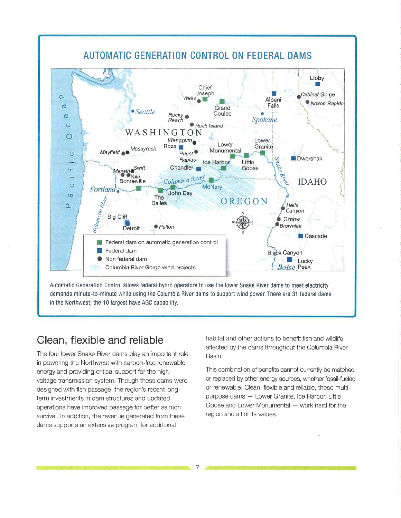

Automatic Generation Control allows federal hydro operators to use the lower Snake River dams to meet electricity demands minute-to-minute while using the Columbia River dams to support wind power. There are 31 federal dams in the Northwest; the 10 largest have AGC capability.

## Clean, flexible and reliable

The four lower Snake River dams play an important role in powering the Northwest with carbon-free renewable energy and providing critical support for the highvoltage transmission system. Though these dams were designed with fish passage, the region's recent longterm investments in dam structures and updated operations have improved passage for better salmon survival. In addition, the revenue generated from these dams supports an extensive program for additional

habitat and other actions to benefit fish and wildlife affected by the dams throughout the Columbia River Basin.

This combination of benefits cannot currently be matched or replaced by other energy sources, whether fossil-fueled or renewable. Clean, flexible and reliable, these multipurpose dams - Lower Granite, Ice Harbor, Little Goose and Lower Monumental - work hard for the region and all of its values.